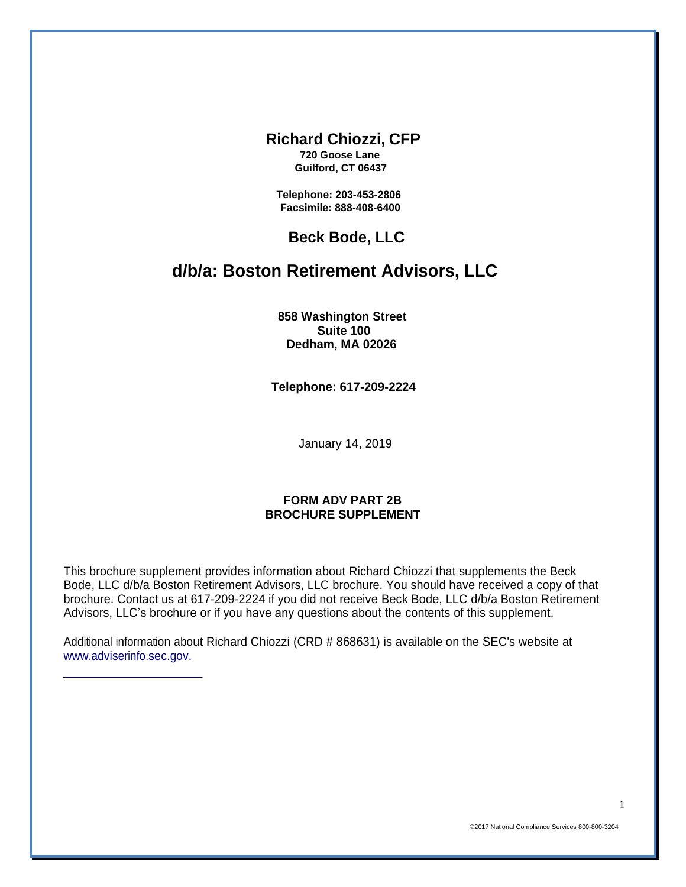#### **Richard Chiozzi, CFP**

**720 Goose Lane Guilford, CT 06437**

**Telephone: 203-453-2806 Facsimile: 888-408-6400**

### **Beck Bode, LLC**

# **d/b/a: Boston Retirement Advisors, LLC**

**858 Washington Street Suite 100 Dedham, MA 02026**

**Telephone: 617-209-2224**

January 14, 2019

#### **FORM ADV PART 2B BROCHURE SUPPLEMENT**

This brochure supplement provides information about Richard Chiozzi that supplements the Beck Bode, LLC d/b/a Boston Retirement Advisors, LLC brochure. You should have received a copy of that brochure. Contact us at 617-209-2224 if you did not receive Beck Bode, LLC d/b/a Boston Retirement Advisors, LLC's brochure or if you have any questions about the contents of this supplement.

Additional information about Richard Chiozzi (CRD # 868631) is available on the SEC's website at [www.adviserinfo.sec.gov.](http://www.adviserinfo.sec.gov./)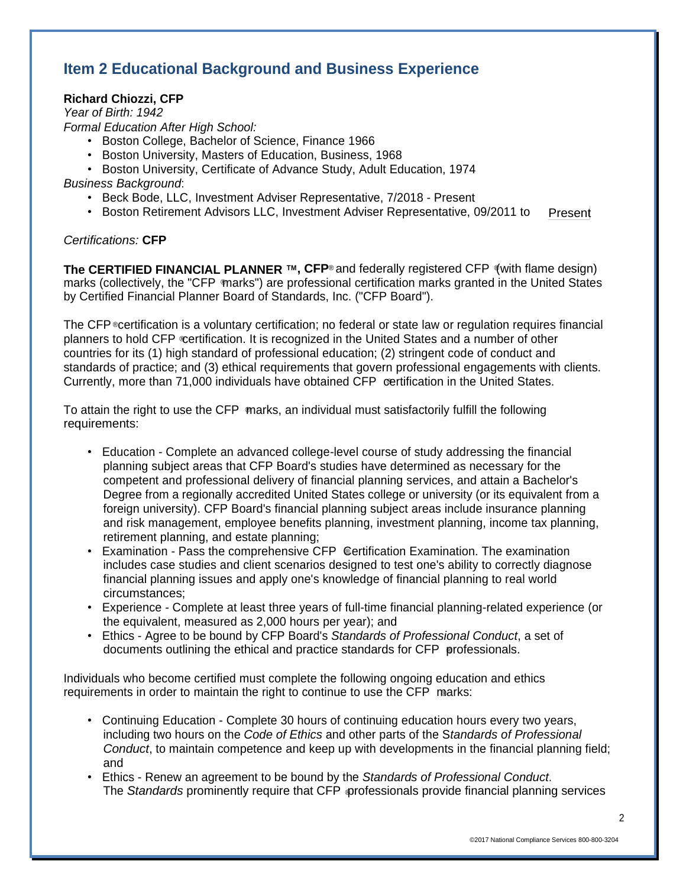# **Item 2 Educational Background and Business Experience**

### **Richard Chiozzi, CFP**

*Year of Birth: 1942*

*Formal Education After High School:*

- Boston College, Bachelor of Science, Finance 1966
- Boston University, Masters of Education, Business, 1968
- Boston University, Certificate of Advance Study, Adult Education, 1974

*Business Background*:

- Beck Bode, LLC, Investment Adviser Representative, 7/2018 Present
- Present • Boston Retirement Advisors LLC, Investment Adviser Representative, 09/2011 to

#### *Certifications:* **CFP**

**The CERTIFIED FINANCIAL PLANNER ™, CFP<sup>®</sup> and federally registered CFP (with flame design)** ® marks (collectively, the "CFP marks") are professional certification marks granted in the United States by Certified Financial Planner Board of Standards, Inc. ("CFP Board").

The CFP ©certification is a voluntary certification; no federal or state law or regulation requires financial planners to hold CFP certification. It is recognized in the United States and a number of other ® Currently, more than 71,000 individuals have obtained CFP certification in the United States. countries for its (1) high standard of professional education; (2) stringent code of conduct and standards of practice; and (3) ethical requirements that govern professional engagements with clients.

® To attain the right to use the CFP marks, an individual must satisfactorily fulfill the following requirements:

- Education Complete an advanced college-level course of study addressing the financial planning subject areas that CFP Board's studies have determined as necessary for the competent and professional delivery of financial planning services, and attain a Bachelor's Degree from a regionally accredited United States college or university (or its equivalent from a foreign university). CFP Board's financial planning subject areas include insurance planning and risk management, employee benefits planning, investment planning, income tax planning, retirement planning, and estate planning;
- Examination Pass the comprehensive CFP Certification Examination. The examination includes case studies and client scenarios designed to test one's ability to correctly diagnose financial planning issues and apply one's knowledge of financial planning to real world circumstances;
- Experience Complete at least three years of full-time financial planning-related experience (or the equivalent, measured as 2,000 hours per year); and
- ® documents outlining the ethical and practice standards for CFP professionals. • Ethics - Agree to be bound by CFP Board's *Standards of Professional Conduct*, a set of

requirements in order to maintain the right to continue to use the CFP marks: Individuals who become certified must complete the following ongoing education and ethics

- Continuing Education Complete 30 hours of continuing education hours every two years, including two hours on the *Code of Ethics* and other parts of the S*tandards of Professional Conduct*, to maintain competence and keep up with developments in the financial planning field; and
- The *Standards* prominently require that CFP orofessionals provide financial planning services • Ethics - Renew an agreement to be bound by the *Standards of Professional Conduct*.